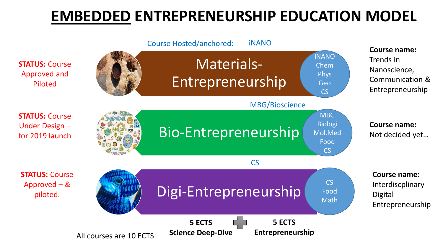## **EMBEDDED ENTREPRENEURSHIP EDUCATION MODEL**

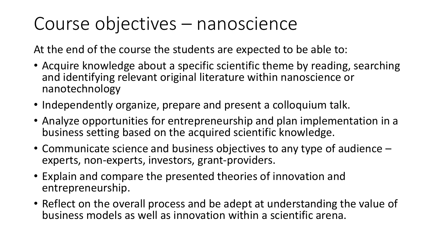# Course objectives – nanoscience

At the end of the course the students are expected to be able to:

- Acquire knowledge about a specific scientific theme by reading, searching and identifying relevant original literature within nanoscience or nanotechnology
- Independently organize, prepare and present a colloquium talk.
- Analyze opportunities for entrepreneurship and plan implementation in a business setting based on the acquired scientific knowledge.
- Communicate science and business objectives to any type of audience experts, non-experts, investors, grant-providers.
- Explain and compare the presented theories of innovation and entrepreneurship.
- Reflect on the overall process and be adept at understanding the value of business models as well as innovation within a scientific arena.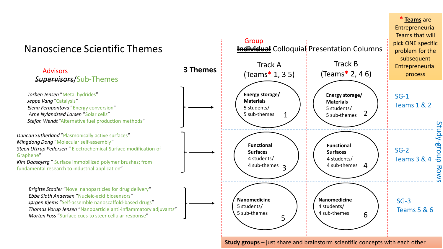

**Study groups** – just share and brainstorm scientific concepts with each other

**\* Teams** are Entrepreneurial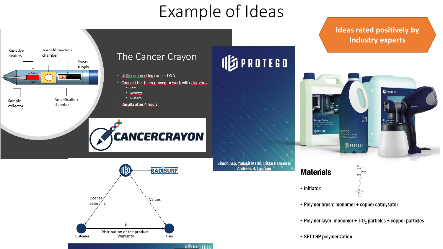## Example of Ideas

**IDPROTEGO** 

**Andreas B. Laursen** 



## The Cancer Crayon

- Utilizing shredded cancer DNA
- . Concept has been proved to work with zika-virus
	- $•$  Fast
	- · Accurate
	- · Sensitive
- Results after 4 hours





### **Ideas rated positively by Industry experts**



- Polymer brush: monomer + copper catalysator
- Polymer layer: monomer +  $TiO<sub>2</sub>$  particles + copper particles
- SET-LRP polymerization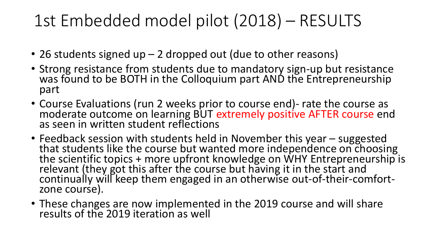## 1st Embedded model pilot (2018) – RESULTS

- 26 students signed up 2 dropped out (due to other reasons)
- Strong resistance from students due to mandatory sign-up but resistance was found to be BOTH in the Colloquium part AND the Entrepreneurship part
- Course Evaluations (run 2 weeks prior to course end)- rate the course as moderate outcome on learning BUT extremely positive AFTER course end as seen in written student reflections
- Feedback session with students held in November this year suggested that students like the course but wanted more independence on choosing the scientific topics + more upfront knowledge on WHY Entrepreneurship is relevant (they got this after the course but having it in the start and continually will keep them engaged in an otherwise out-of-their-comfortzone course).
- These changes are now implemented in the 2019 course and will share results of the 2019 iteration as well